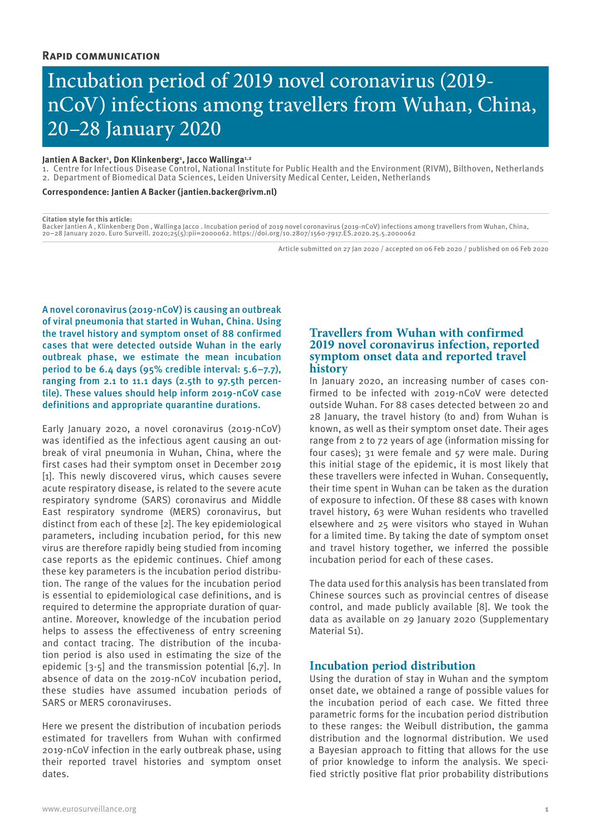# Incubation period of 2019 novel coronavirus (2019 nCoV) infections among travellers from Wuhan, China, 20–28 January 2020

## Jantien A Backer<sup>1</sup>, Don Klinkenberg<sup>1</sup>, Jacco Wallinga<sup>1,2</sup>

1. Centre for Infectious Disease Control, National Institute for Public Health and the Environment (RIVM), Bilthoven, Netherlands 2. Department of Biomedical Data Sciences, Leiden University Medical Center, Leiden, Netherlands

**Correspondence: Jantien A Backer (jantien.backer@rivm.nl)**

#### **Citation style for this article:**

Backer Jantien A , Klinkenberg Don , Wallinga Jacco . Incubation period of 2019 novel coronavirus (2019-nCoV) infections among travellers from Wuhan, China, 20–28 January 2020. Euro Surveill. 2020;25(5):pii=2000062. https://doi.org/10.2807/1560-7917.ES.2020.25.5.2000062

Article submitted on 27 Jan 2020 / accepted on 06 Feb 2020 / published on 06 Feb 2020

A novel coronavirus (2019-nCoV) is causing an outbreak of viral pneumonia that started in Wuhan, China. Using the travel history and symptom onset of 88 confirmed cases that were detected outside Wuhan in the early outbreak phase, we estimate the mean incubation period to be 6.4 days (95% credible interval: 5.6–7.7), ranging from 2.1 to 11.1 days (2.5th to 97.5th percentile). These values should help inform 2019-nCoV case definitions and appropriate quarantine durations.

Early January 2020, a novel coronavirus (2019-nCoV) was identified as the infectious agent causing an outbreak of viral pneumonia in Wuhan, China, where the first cases had their symptom onset in December 2019 [1]. This newly discovered virus, which causes severe acute respiratory disease, is related to the severe acute respiratory syndrome (SARS) coronavirus and Middle East respiratory syndrome (MERS) coronavirus, but distinct from each of these [2]. The key epidemiological parameters, including incubation period, for this new virus are therefore rapidly being studied from incoming case reports as the epidemic continues. Chief among these key parameters is the incubation period distribution. The range of the values for the incubation period is essential to epidemiological case definitions, and is required to determine the appropriate duration of quarantine. Moreover, knowledge of the incubation period helps to assess the effectiveness of entry screening and contact tracing. The distribution of the incubation period is also used in estimating the size of the epidemic [3-5] and the transmission potential [6,7]. In absence of data on the 2019-nCoV incubation period, these studies have assumed incubation periods of SARS or MERS coronaviruses.

Here we present the distribution of incubation periods estimated for travellers from Wuhan with confirmed 2019-nCoV infection in the early outbreak phase, using their reported travel histories and symptom onset dates.

# **Travellers from Wuhan with confirmed 2019 novel coronavirus infection, reported symptom onset data and reported travel history**

In January 2020, an increasing number of cases confirmed to be infected with 2019-nCoV were detected outside Wuhan. For 88 cases detected between 20 and 28 January, the travel history (to and) from Wuhan is known, as well as their symptom onset date. Their ages range from 2 to 72 years of age (information missing for four cases); 31 were female and 57 were male. During this initial stage of the epidemic, it is most likely that these travellers were infected in Wuhan. Consequently, their time spent in Wuhan can be taken as the duration of exposure to infection. Of these 88 cases with known travel history, 63 were Wuhan residents who travelled elsewhere and 25 were visitors who stayed in Wuhan for a limited time. By taking the date of symptom onset and travel history together, we inferred the possible incubation period for each of these cases.

The data used for this analysis has been translated from Chinese sources such as provincial centres of disease control, and made publicly available [8]. We took the data as available on 29 January 2020 (Supplementary Material S1).

# **Incubation period distribution**

Using the duration of stay in Wuhan and the symptom onset date, we obtained a range of possible values for the incubation period of each case. We fitted three parametric forms for the incubation period distribution to these ranges: the Weibull distribution, the gamma distribution and the lognormal distribution. We used a Bayesian approach to fitting that allows for the use of prior knowledge to inform the analysis. We specified strictly positive flat prior probability distributions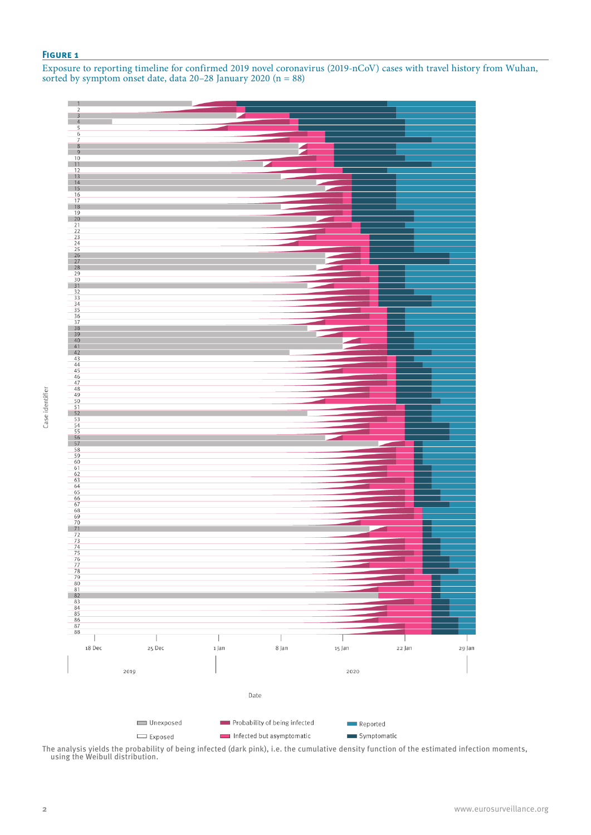## **Figure 1**

Exposure to reporting timeline for confirmed 2019 novel coronavirus (2019-nCoV) cases with travel history from Wuhan, sorted by symptom onset date, data 20–28 January 2020 (n = 88)



The analysis yields the probability of being infected (dark pink), i.e. the cumulative density function of the estimated infection moments, using the Weibull distribution.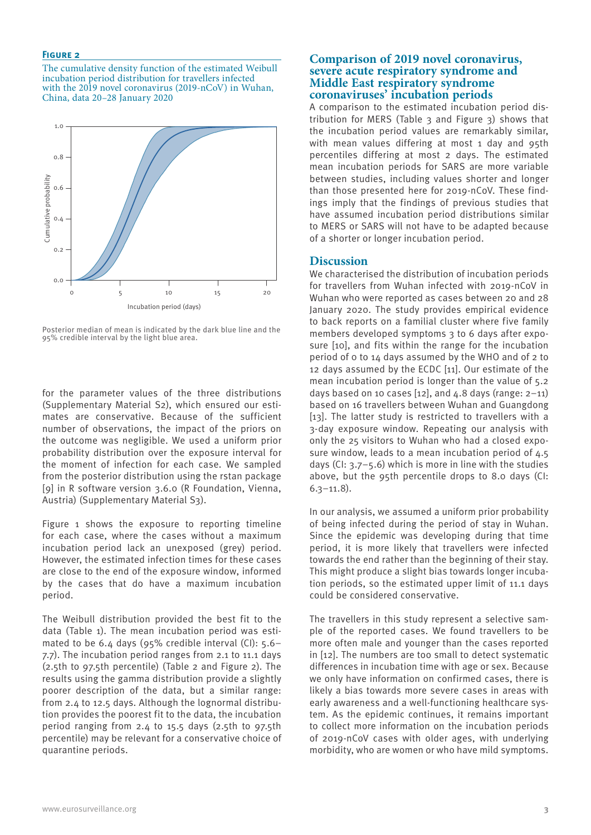#### **Figure 2**

The cumulative density function of the estimated Weibull incubation period distribution for travellers infected with the 2019 novel coronavirus (2019-nCoV) in Wuhan, China, data 20–28 January 2020



Posterior median of mean is indicated by the dark blue line and the 95% credible interval by the light blue area.

for the parameter values of the three distributions (Supplementary Material S2), which ensured our estimates are conservative. Because of the sufficient number of observations, the impact of the priors on the outcome was negligible. We used a uniform prior probability distribution over the exposure interval for the moment of infection for each case. We sampled from the posterior distribution using the rstan package [9] in R software version 3.6.0 (R Foundation, Vienna, Austria) (Supplementary Material S3).

Figure 1 shows the exposure to reporting timeline for each case, where the cases without a maximum incubation period lack an unexposed (grey) period. However, the estimated infection times for these cases are close to the end of the exposure window, informed by the cases that do have a maximum incubation period.

The Weibull distribution provided the best fit to the data (Table 1). The mean incubation period was estimated to be 6.4 days (95% credible interval (CI): 5.6– 7.7). The incubation period ranges from 2.1 to 11.1 days (2.5th to 97.5th percentile) (Table 2 and Figure 2). The results using the gamma distribution provide a slightly poorer description of the data, but a similar range: from 2.4 to 12.5 days. Although the lognormal distribution provides the poorest fit to the data, the incubation period ranging from 2.4 to 15.5 days (2.5th to 97.5th percentile) may be relevant for a conservative choice of quarantine periods.

# **Comparison of 2019 novel coronavirus, severe acute respiratory syndrome and Middle East respiratory syndrome coronaviruses' incubation periods**

A comparison to the estimated incubation period distribution for MERS (Table 3 and Figure 3) shows that the incubation period values are remarkably similar, with mean values differing at most 1 day and 95th percentiles differing at most 2 days. The estimated mean incubation periods for SARS are more variable between studies, including values shorter and longer than those presented here for 2019-nCoV. These findings imply that the findings of previous studies that have assumed incubation period distributions similar to MERS or SARS will not have to be adapted because of a shorter or longer incubation period.

## **Discussion**

We characterised the distribution of incubation periods for travellers from Wuhan infected with 2019-nCoV in Wuhan who were reported as cases between 20 and 28 January 2020. The study provides empirical evidence to back reports on a familial cluster where five family members developed symptoms 3 to 6 days after exposure [10], and fits within the range for the incubation period of 0 to 14 days assumed by the WHO and of 2 to 12 days assumed by the ECDC [11]. Our estimate of the mean incubation period is longer than the value of 5.2 days based on 10 cases  $[12]$ , and  $4.8$  days (range:  $2-11$ ) based on 16 travellers between Wuhan and Guangdong [13]. The latter study is restricted to travellers with a 3-day exposure window. Repeating our analysis with only the 25 visitors to Wuhan who had a closed exposure window, leads to a mean incubation period of 4.5 days (CI:  $3.7 - 5.6$ ) which is more in line with the studies above, but the 95th percentile drops to 8.0 days (CI: 6.3–11.8).

In our analysis, we assumed a uniform prior probability of being infected during the period of stay in Wuhan. Since the epidemic was developing during that time period, it is more likely that travellers were infected towards the end rather than the beginning of their stay. This might produce a slight bias towards longer incubation periods, so the estimated upper limit of 11.1 days could be considered conservative.

The travellers in this study represent a selective sample of the reported cases. We found travellers to be more often male and younger than the cases reported in [12]. The numbers are too small to detect systematic differences in incubation time with age or sex. Because we only have information on confirmed cases, there is likely a bias towards more severe cases in areas with early awareness and a well-functioning healthcare system. As the epidemic continues, it remains important to collect more information on the incubation periods of 2019-nCoV cases with older ages, with underlying morbidity, who are women or who have mild symptoms.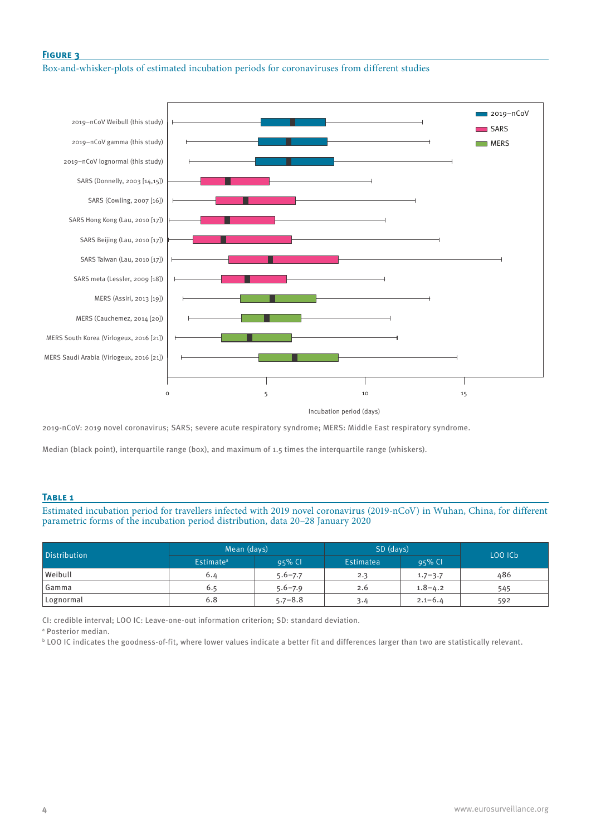# **Figure 3**

Box-and-whisker-plots of estimated incubation periods for coronaviruses from different studies



Incubation period (days)

2019-nCoV: 2019 novel coronavirus; SARS; severe acute respiratory syndrome; MERS: Middle East respiratory syndrome.

Median (black point), interquartile range (box), and maximum of 1.5 times the interquartile range (whiskers).

## **Table 1**

Estimated incubation period for travellers infected with 2019 novel coronavirus (2019-nCoV) in Wuhan, China, for different parametric forms of the incubation period distribution, data 20–28 January 2020

| <b>Distribution</b> | Mean (days)           |             | SD (days) |             | LOO ICb |  |
|---------------------|-----------------------|-------------|-----------|-------------|---------|--|
|                     | Estimate <sup>a</sup> | $95%$ CI    | Estimatea | $95%$ Cl    |         |  |
| Weibull             | 6.4                   | $5.6 - 7.7$ | 2.3       | $1.7 - 3.7$ | 486     |  |
| Gamma               | 6.5                   | $5.6 - 7.9$ | 2.6       | $1.8 - 4.2$ | 545     |  |
| Lognormal           | 6.8                   | $5.7 - 8.8$ | 3.4       | $2.1 - 6.4$ | 592     |  |

CI: credible interval; LOO IC: Leave-one-out information criterion; SD: standard deviation.

a Posterior median.

 $^{\rm b}$  LOO IC indicates the goodness-of-fit, where lower values indicate a better fit and differences larger than two are statistically relevant.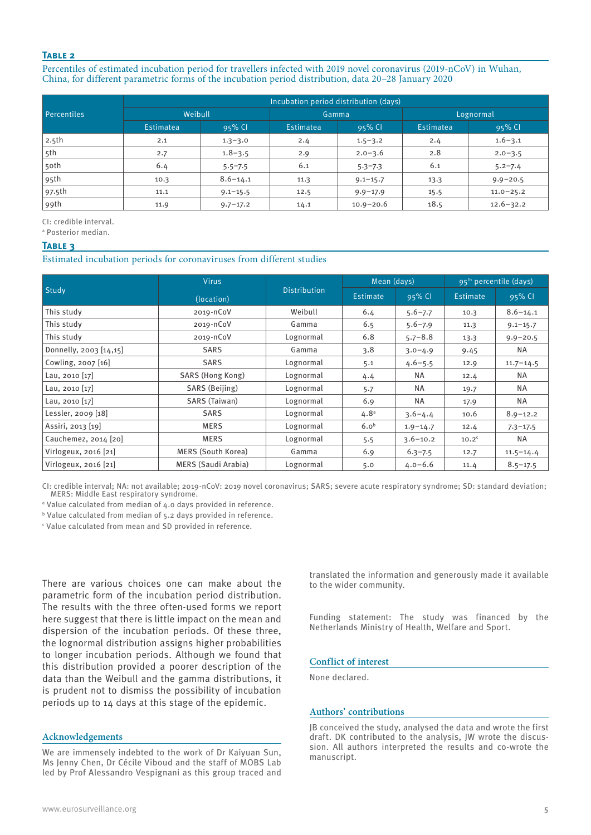## **Table 2**

Percentiles of estimated incubation period for travellers infected with 2019 novel coronavirus (2019-nCoV) in Wuhan, China, for different parametric forms of the incubation period distribution, data 20–28 January 2020

|                    | Incubation period distribution (days) |              |           |               |           |               |  |  |
|--------------------|---------------------------------------|--------------|-----------|---------------|-----------|---------------|--|--|
| <b>Percentiles</b> | Weibull                               |              | Gamma     |               | Lognormal |               |  |  |
|                    | Estimatea                             | $95%$ CI     | Estimatea | $95%$ Cl      | Estimatea | 95% CI        |  |  |
| 2.5 <sub>th</sub>  | 2.1                                   | $1.3 - 3.0$  | 2.4       | $1.5 - 3.2$   | 2.4       | $1.6 - 3.1$   |  |  |
| 5th                | 2.7                                   | $1.8 - 3.5$  | 2.9       | $2.0 - 3.6$   | 2.8       | $2.0 - 3.5$   |  |  |
| 5oth               | 6.4                                   | $5.5 - 7.5$  | 6.1       | $5.3 - 7.3$   | 6.1       | $5.2 - 7.4$   |  |  |
| 95th               | 10.3                                  | $8.6 - 14.1$ | 11.3      | $9.1 - 15.7$  | 13.3      | $9.9 - 20.5$  |  |  |
| 97.5th             | 11.1                                  | $9.1 - 15.5$ | 12.5      | $9.9 - 17.9$  | 15.5      | $11.0 - 25.2$ |  |  |
| 99th               | 11.9                                  | $9.7 - 17.2$ | 14.1      | $10.9 - 20.6$ | 18.5      | $12.6 - 32.2$ |  |  |

CI: credible interval.

a Posterior median.

#### **Table 3**

Estimated incubation periods for coronaviruses from different studies

| Study                  | <b>Virus</b>               | <b>Distribution</b> | Mean (days)      |              | 95 <sup>th</sup> percentile (days) |               |
|------------------------|----------------------------|---------------------|------------------|--------------|------------------------------------|---------------|
|                        | (location)                 |                     | Estimate         | 95% CI       | Estimate                           | 95% CI        |
| This study             | 2019-NC0V                  | Weibull             | 6.4              | $5.6 - 7.7$  | 10.3                               | $8.6 - 14.1$  |
| This study             | $2019 - nCOV$              | Gamma               | 6.5              | $5.6 - 7.9$  | 11.3                               | $9.1 - 15.7$  |
| This study             | $2019 - nCOV$              | Lognormal           | 6.8              | $5.7 - 8.8$  | 13.3                               | $9.9 - 20.5$  |
| Donnelly, 2003 [14,15] | <b>SARS</b>                | Gamma               | 3.8              | $3.0 - 4.9$  | 9.45                               | NA            |
| Cowling, 2007 [16]     | <b>SARS</b>                | Lognormal           | 5.1              | $4.6 - 5.5$  | 12.9                               | $11.7 - 14.5$ |
| Lau, 2010 $[17]$       | SARS (Hong Kong)           | Lognormal           | 4.4              | ΝA           | 12.4                               | NA.           |
| Lau, 2010 [17]         | SARS (Beijing)             | Lognormal           | 5.7              | ΝA           | 19.7                               | NA            |
| Lau, 2010 [17]         | SARS (Taiwan)              | Lognormal           | 6.9              | NA           | 17.9                               | <b>NA</b>     |
| Lessler, 2009 [18]     | <b>SARS</b>                | Lognormal           | 4.8 <sup>a</sup> | $3.6 - 4.4$  | 10.6                               | $8.9 - 12.2$  |
| Assiri, 2013 [19]      | <b>MERS</b>                | Lognormal           | 6.0 <sup>b</sup> | $1.9 - 14.7$ | 12.4                               | $7.3 - 17.5$  |
| Cauchemez, 2014 [20]   | <b>MERS</b>                | Lognormal           | 5.5              | $3.6 - 10.2$ | 10.2 <sup>c</sup>                  | NA.           |
| Virlogeux, 2016 [21]   | MERS (South Korea)         | Gamma               | 6.9              | $6.3 - 7.5$  | 12.7                               | $11.5 - 14.4$ |
| Virlogeux, 2016 [21]   | <b>MERS (Saudi Arabia)</b> | Lognormal           | 5.0              | $4.0 - 6.6$  | 11.4                               | $8.5 - 17.5$  |

CI: credible interval; NA: not available; 2019-nCoV: 2019 novel coronavirus; SARS; severe acute respiratory syndrome; SD: standard deviation; MERS: Middle East respiratory syndrome.

a Value calculated from median of 4.0 days provided in reference.

b Value calculated from median of 5.2 days provided in reference.

 $\epsilon$  Value calculated from mean and SD provided in reference.

There are various choices one can make about the parametric form of the incubation period distribution. The results with the three often-used forms we report here suggest that there is little impact on the mean and dispersion of the incubation periods. Of these three, the lognormal distribution assigns higher probabilities to longer incubation periods. Although we found that this distribution provided a poorer description of the data than the Weibull and the gamma distributions, it is prudent not to dismiss the possibility of incubation periods up to 14 days at this stage of the epidemic.

## **Acknowledgements**

We are immensely indebted to the work of Dr Kaiyuan Sun, Ms Jenny Chen, Dr Cécile Viboud and the staff of MOBS Lab led by Prof Alessandro Vespignani as this group traced and translated the information and generously made it available to the wider community.

Funding statement: The study was financed by the Netherlands Ministry of Health, Welfare and Sport.

## **Conflict of interest**

None declared.

## **Authors' contributions**

JB conceived the study, analysed the data and wrote the first draft. DK contributed to the analysis, JW wrote the discussion. All authors interpreted the results and co-wrote the manuscript.